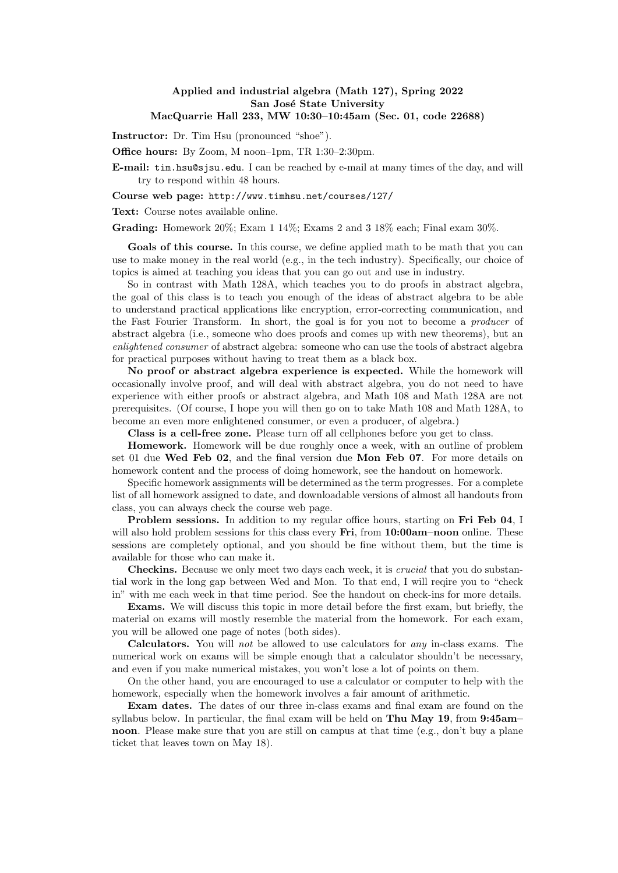## Applied and industrial algebra (Math 127), Spring 2022 San José State University MacQuarrie Hall 233, MW 10:30–10:45am (Sec. 01, code 22688)

Instructor: Dr. Tim Hsu (pronounced "shoe").

Office hours: By Zoom, M noon–1pm, TR 1:30–2:30pm.

E-mail: tim.hsu@sjsu.edu. I can be reached by e-mail at many times of the day, and will try to respond within 48 hours.

## Course web page: http://www.timhsu.net/courses/127/

Text: Course notes available online.

Grading: Homework 20%; Exam 1 14%; Exams 2 and 3 18% each; Final exam 30%.

Goals of this course. In this course, we define applied math to be math that you can use to make money in the real world (e.g., in the tech industry). Specifically, our choice of topics is aimed at teaching you ideas that you can go out and use in industry.

So in contrast with Math 128A, which teaches you to do proofs in abstract algebra, the goal of this class is to teach you enough of the ideas of abstract algebra to be able to understand practical applications like encryption, error-correcting communication, and the Fast Fourier Transform. In short, the goal is for you not to become a producer of abstract algebra (i.e., someone who does proofs and comes up with new theorems), but an enlightened consumer of abstract algebra: someone who can use the tools of abstract algebra for practical purposes without having to treat them as a black box.

No proof or abstract algebra experience is expected. While the homework will occasionally involve proof, and will deal with abstract algebra, you do not need to have experience with either proofs or abstract algebra, and Math 108 and Math 128A are not prerequisites. (Of course, I hope you will then go on to take Math 108 and Math 128A, to become an even more enlightened consumer, or even a producer, of algebra.)

Class is a cell-free zone. Please turn off all cellphones before you get to class.

Homework. Homework will be due roughly once a week, with an outline of problem set 01 due Wed Feb 02, and the final version due Mon Feb 07. For more details on homework content and the process of doing homework, see the handout on homework.

Specific homework assignments will be determined as the term progresses. For a complete list of all homework assigned to date, and downloadable versions of almost all handouts from class, you can always check the course web page.

Problem sessions. In addition to my regular office hours, starting on Fri Feb 04, I will also hold problem sessions for this class every **Fri**, from **10:00am–noon** online. These sessions are completely optional, and you should be fine without them, but the time is available for those who can make it.

Checkins. Because we only meet two days each week, it is *crucial* that you do substantial work in the long gap between Wed and Mon. To that end, I will reqire you to "check in" with me each week in that time period. See the handout on check-ins for more details.

Exams. We will discuss this topic in more detail before the first exam, but briefly, the material on exams will mostly resemble the material from the homework. For each exam, you will be allowed one page of notes (both sides).

Calculators. You will not be allowed to use calculators for any in-class exams. The numerical work on exams will be simple enough that a calculator shouldn't be necessary, and even if you make numerical mistakes, you won't lose a lot of points on them.

On the other hand, you are encouraged to use a calculator or computer to help with the homework, especially when the homework involves a fair amount of arithmetic.

Exam dates. The dates of our three in-class exams and final exam are found on the syllabus below. In particular, the final exam will be held on Thu May 19, from 9:45am– noon. Please make sure that you are still on campus at that time (e.g., don't buy a plane ticket that leaves town on May 18).